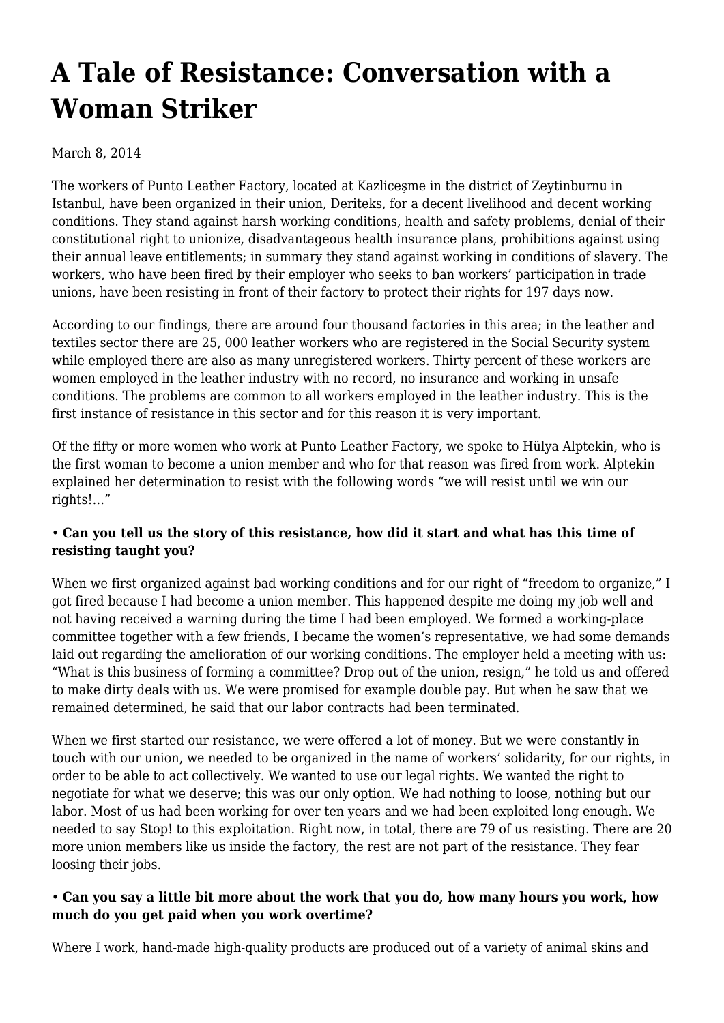# **[A Tale of Resistance: Conversation with a](https://newpol.org/tale-resistance-conversation-woman-striker/) [Woman Striker](https://newpol.org/tale-resistance-conversation-woman-striker/)**

## March 8, 2014

The workers of Punto Leather Factory, located at Kazliceşme in the district of Zeytinburnu in Istanbul, have been organized in their union, Deriteks, for a decent livelihood and decent working conditions. They stand against harsh working conditions, health and safety problems, denial of their constitutional right to unionize, disadvantageous health insurance plans, prohibitions against using their annual leave entitlements; in summary they stand against working in conditions of slavery. The workers, who have been fired by their employer who seeks to ban workers' participation in trade unions, have been resisting in front of their factory to protect their rights for 197 days now.

According to our findings, there are around four thousand factories in this area; in the leather and textiles sector there are 25, 000 leather workers who are registered in the Social Security system while employed there are also as many unregistered workers. Thirty percent of these workers are women employed in the leather industry with no record, no insurance and working in unsafe conditions. The problems are common to all workers employed in the leather industry. This is the first instance of resistance in this sector and for this reason it is very important.

Of the fifty or more women who work at Punto Leather Factory, we spoke to Hülya Alptekin, who is the first woman to become a union member and who for that reason was fired from work. Alptekin explained her determination to resist with the following words "we will resist until we win our rights!…"

## • **Can you tell us the story of this resistance, how did it start and what has this time of resisting taught you?**

When we first organized against bad working conditions and for our right of "freedom to organize," I got fired because I had become a union member. This happened despite me doing my job well and not having received a warning during the time I had been employed. We formed a working-place committee together with a few friends, I became the women's representative, we had some demands laid out regarding the amelioration of our working conditions. The employer held a meeting with us: "What is this business of forming a committee? Drop out of the union, resign," he told us and offered to make dirty deals with us. We were promised for example double pay. But when he saw that we remained determined, he said that our labor contracts had been terminated.

When we first started our resistance, we were offered a lot of money. But we were constantly in touch with our union, we needed to be organized in the name of workers' solidarity, for our rights, in order to be able to act collectively. We wanted to use our legal rights. We wanted the right to negotiate for what we deserve; this was our only option. We had nothing to loose, nothing but our labor. Most of us had been working for over ten years and we had been exploited long enough. We needed to say Stop! to this exploitation. Right now, in total, there are 79 of us resisting. There are 20 more union members like us inside the factory, the rest are not part of the resistance. They fear loosing their jobs.

## • **Can you say a little bit more about the work that you do, how many hours you work, how much do you get paid when you work overtime?**

Where I work, hand-made high-quality products are produced out of a variety of animal skins and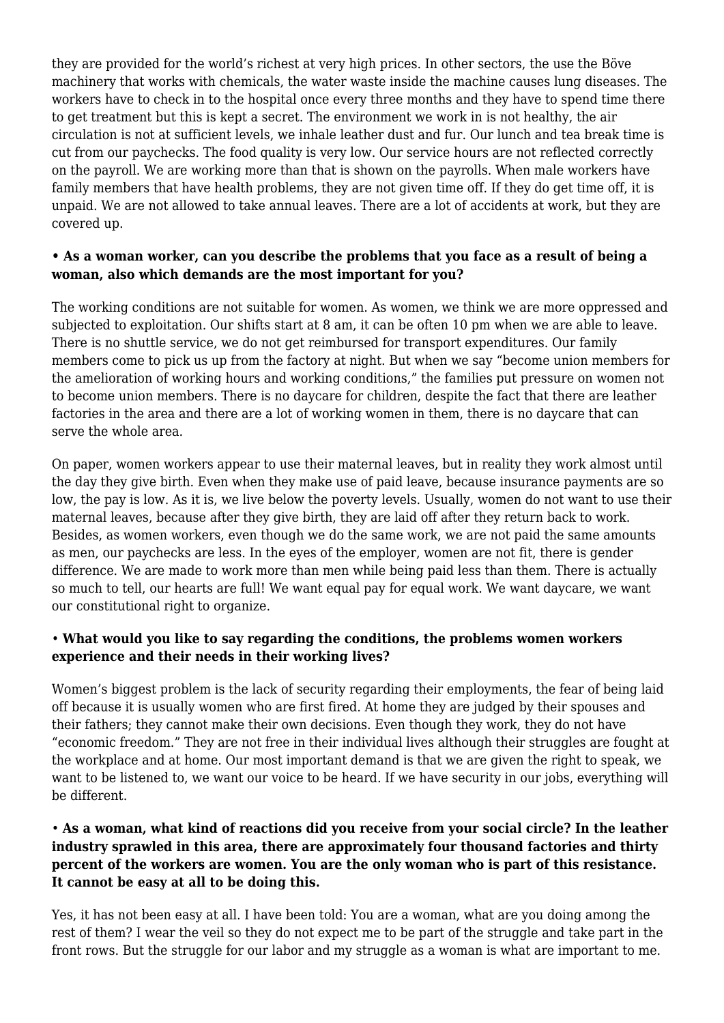they are provided for the world's richest at very high prices. In other sectors, the use the Böve machinery that works with chemicals, the water waste inside the machine causes lung diseases. The workers have to check in to the hospital once every three months and they have to spend time there to get treatment but this is kept a secret. The environment we work in is not healthy, the air circulation is not at sufficient levels, we inhale leather dust and fur. Our lunch and tea break time is cut from our paychecks. The food quality is very low. Our service hours are not reflected correctly on the payroll. We are working more than that is shown on the payrolls. When male workers have family members that have health problems, they are not given time off. If they do get time off, it is unpaid. We are not allowed to take annual leaves. There are a lot of accidents at work, but they are covered up.

#### **• As a woman worker, can you describe the problems that you face as a result of being a woman, also which demands are the most important for you?**

The working conditions are not suitable for women. As women, we think we are more oppressed and subjected to exploitation. Our shifts start at 8 am, it can be often 10 pm when we are able to leave. There is no shuttle service, we do not get reimbursed for transport expenditures. Our family members come to pick us up from the factory at night. But when we say "become union members for the amelioration of working hours and working conditions," the families put pressure on women not to become union members. There is no daycare for children, despite the fact that there are leather factories in the area and there are a lot of working women in them, there is no daycare that can serve the whole area.

On paper, women workers appear to use their maternal leaves, but in reality they work almost until the day they give birth. Even when they make use of paid leave, because insurance payments are so low, the pay is low. As it is, we live below the poverty levels. Usually, women do not want to use their maternal leaves, because after they give birth, they are laid off after they return back to work. Besides, as women workers, even though we do the same work, we are not paid the same amounts as men, our paychecks are less. In the eyes of the employer, women are not fit, there is gender difference. We are made to work more than men while being paid less than them. There is actually so much to tell, our hearts are full! We want equal pay for equal work. We want daycare, we want our constitutional right to organize.

## • **What would you like to say regarding the conditions, the problems women workers experience and their needs in their working lives?**

Women's biggest problem is the lack of security regarding their employments, the fear of being laid off because it is usually women who are first fired. At home they are judged by their spouses and their fathers; they cannot make their own decisions. Even though they work, they do not have "economic freedom." They are not free in their individual lives although their struggles are fought at the workplace and at home. Our most important demand is that we are given the right to speak, we want to be listened to, we want our voice to be heard. If we have security in our jobs, everything will be different.

#### • **As a woman, what kind of reactions did you receive from your social circle? In the leather industry sprawled in this area, there are approximately four thousand factories and thirty percent of the workers are women. You are the only woman who is part of this resistance. It cannot be easy at all to be doing this.**

Yes, it has not been easy at all. I have been told: You are a woman, what are you doing among the rest of them? I wear the veil so they do not expect me to be part of the struggle and take part in the front rows. But the struggle for our labor and my struggle as a woman is what are important to me.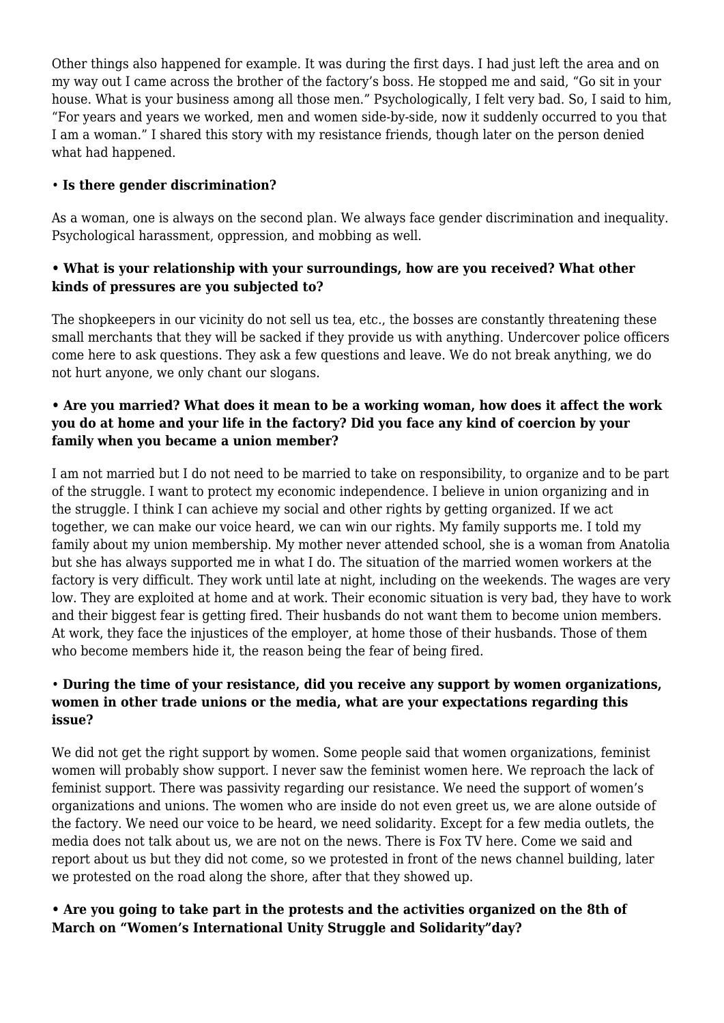Other things also happened for example. It was during the first days. I had just left the area and on my way out I came across the brother of the factory's boss. He stopped me and said, "Go sit in your house. What is your business among all those men." Psychologically, I felt very bad. So, I said to him, "For years and years we worked, men and women side-by-side, now it suddenly occurred to you that I am a woman." I shared this story with my resistance friends, though later on the person denied what had happened.

# • **Is there gender discrimination?**

As a woman, one is always on the second plan. We always face gender discrimination and inequality. Psychological harassment, oppression, and mobbing as well.

# **• What is your relationship with your surroundings, how are you received? What other kinds of pressures are you subjected to?**

The shopkeepers in our vicinity do not sell us tea, etc., the bosses are constantly threatening these small merchants that they will be sacked if they provide us with anything. Undercover police officers come here to ask questions. They ask a few questions and leave. We do not break anything, we do not hurt anyone, we only chant our slogans.

#### **• Are you married? What does it mean to be a working woman, how does it affect the work you do at home and your life in the factory? Did you face any kind of coercion by your family when you became a union member?**

I am not married but I do not need to be married to take on responsibility, to organize and to be part of the struggle. I want to protect my economic independence. I believe in union organizing and in the struggle. I think I can achieve my social and other rights by getting organized. If we act together, we can make our voice heard, we can win our rights. My family supports me. I told my family about my union membership. My mother never attended school, she is a woman from Anatolia but she has always supported me in what I do. The situation of the married women workers at the factory is very difficult. They work until late at night, including on the weekends. The wages are very low. They are exploited at home and at work. Their economic situation is very bad, they have to work and their biggest fear is getting fired. Their husbands do not want them to become union members. At work, they face the injustices of the employer, at home those of their husbands. Those of them who become members hide it, the reason being the fear of being fired.

# • **During the time of your resistance, did you receive any support by women organizations, women in other trade unions or the media, what are your expectations regarding this issue?**

We did not get the right support by women. Some people said that women organizations, feminist women will probably show support. I never saw the feminist women here. We reproach the lack of feminist support. There was passivity regarding our resistance. We need the support of women's organizations and unions. The women who are inside do not even greet us, we are alone outside of the factory. We need our voice to be heard, we need solidarity. Except for a few media outlets, the media does not talk about us, we are not on the news. There is Fox TV here. Come we said and report about us but they did not come, so we protested in front of the news channel building, later we protested on the road along the shore, after that they showed up.

# **• Are you going to take part in the protests and the activities organized on the 8th of March on "Women's International Unity Struggle and Solidarity"day?**